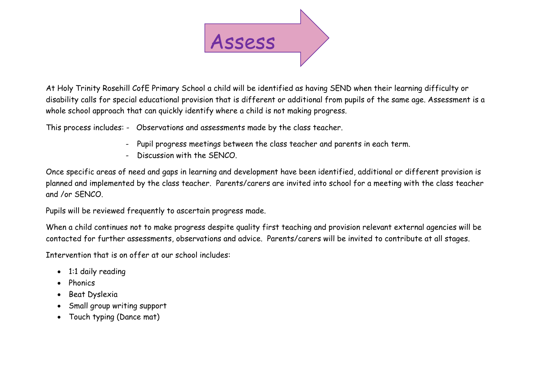

At Holy Trinity Rosehill CofE Primary School a child will be identified as having SEND when their learning difficulty or disability calls for special educational provision that is different or additional from pupils of the same age. Assessment is a whole school approach that can quickly identify where a child is not making progress.

This process includes: - Observations and assessments made by the class teacher.

- Pupil progress meetings between the class teacher and parents in each term.
- Discussion with the SENCO.

Once specific areas of need and gaps in learning and development have been identified, additional or different provision is planned and implemented by the class teacher. Parents/carers are invited into school for a meeting with the class teacher and /or SENCO.

Pupils will be reviewed frequently to ascertain progress made.

When a child continues not to make progress despite quality first teaching and provision relevant external agencies will be contacted for further assessments, observations and advice. Parents/carers will be invited to contribute at all stages.

Intervention that is on offer at our school includes:

- 1:1 daily reading
- Phonics
- Beat Dyslexia
- Small group writing support
- Touch typing (Dance mat)